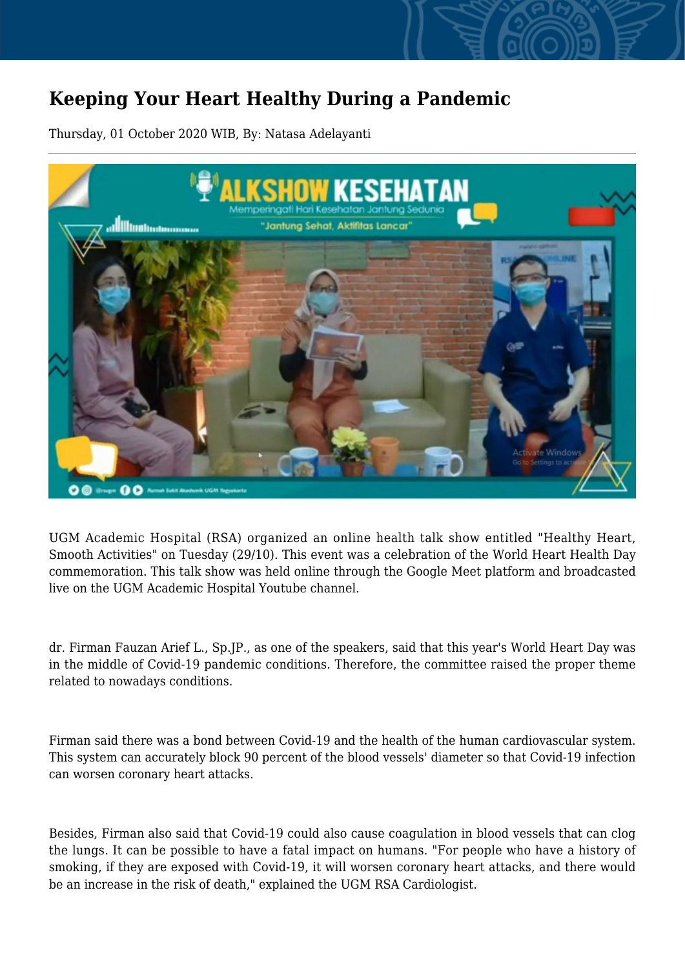## **Keeping Your Heart Healthy During a Pandemic**

Thursday, 01 October 2020 WIB, By: Natasa Adelayanti



UGM Academic Hospital (RSA) organized an online health talk show entitled "Healthy Heart, Smooth Activities" on Tuesday (29/10). This event was a celebration of the World Heart Health Day commemoration. This talk show was held online through the Google Meet platform and broadcasted live on the UGM Academic Hospital Youtube channel.

dr. Firman Fauzan Arief L., Sp.JP., as one of the speakers, said that this year's World Heart Day was in the middle of Covid-19 pandemic conditions. Therefore, the committee raised the proper theme related to nowadays conditions.

Firman said there was a bond between Covid-19 and the health of the human cardiovascular system. This system can accurately block 90 percent of the blood vessels' diameter so that Covid-19 infection can worsen coronary heart attacks.

Besides, Firman also said that Covid-19 could also cause coagulation in blood vessels that can clog the lungs. It can be possible to have a fatal impact on humans. "For people who have a history of smoking, if they are exposed with Covid-19, it will worsen coronary heart attacks, and there would be an increase in the risk of death," explained the UGM RSA Cardiologist.